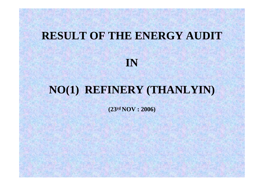# **RESULT OF THE ENERGY AUDIT**

**IN**

# **NO(1) REFINERY (THANLYIN)**

**(23rd NOV : 2006)**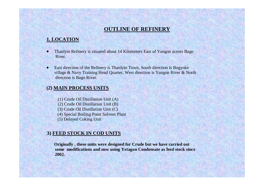# **OUTLINE OF REFINERY**

### **1. LOCATION**

- Thanlyin Refinery is situated about 14 Kilometers East of Yangon across Bago River.
- East direction of the Refinery is Thanlyin Town, South direction is Bogyoke village & Navy Training Head Quarter, West direction is Yangon River & North direction is Bago River.

#### **(2) MAIN PROCESS UNITS**

- (1) Crude Oil Distillation Unit (A)
- (2) Crude Oil Distillation Unit (B)
- (3) Crude Oil Distillation Unit (C)
- (4) Special Boiling Point Solvent Plant
- (5) Delayed Coking Unit

#### **(3) FEED STOCK IN COD UNITS**

**Originally , these units were designed for Crude but we have carried out some modifications and now using Yetagon Condensate as feed stock since 2002.**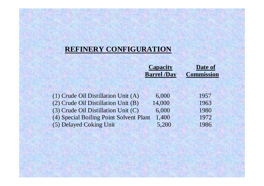# **REFINERY CONFIGURATION**

| <b>Capacity</b>    | Date of           |
|--------------------|-------------------|
| <b>Barrel /Day</b> | <b>Commission</b> |

| (1) Crude Oil Distillation Unit (A)     | 6,000  | 1957 |
|-----------------------------------------|--------|------|
| (2) Crude Oil Distillation Unit (B)     | 14,000 | 1963 |
| (3) Crude Oil Distillation Unit (C)     | 6,000  | 1980 |
| (4) Special Boiling Point Solvent Plant | 1.400  | 1972 |
| (5) Delayed Coking Unit                 | 5,200  | 1986 |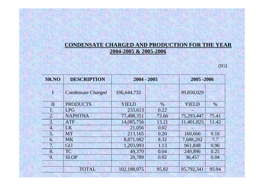# **CONDENSATE CHARGED AND PRODUCTION FOR THE YEAR 2004-2005 & 2005-2006**

 $(IG)$ 

| <b>SR.NO</b> | <b>DESCRIPTION</b>        | $2004 - 2005$ |       | 2005 - 2006  |               |
|--------------|---------------------------|---------------|-------|--------------|---------------|
| $\mathbf{I}$ | <b>Condensate Charged</b> | 106,644,732   |       | 99,850,029   |               |
| $\mathbf{I}$ | <b>PRODUCTS</b>           | <b>YIELD</b>  | $\%$  | <b>YIELD</b> | $\frac{0}{0}$ |
| 1.           | <b>LPG</b>                | 233,613       | 0.22  |              |               |
| 2.           | <b>NAPHTHA</b>            | 77,488,351    | 72.66 | 75,293,447   | 75.41         |
| 3.           | <b>ATF</b>                | 14,085,756    | 13.21 | 11,401,825   | 11.42         |
| 4.           | LK                        | 21,056        | 0.02  |              |               |
| 5.           | <b>MT</b>                 | 213,165       | 0.20  | 160,666      | 0.16          |
| 6.           | <b>MK</b>                 | 8,871,982     | 8.32  | 7,688,202    | 7.7           |
| 7.           | GO                        | 1,203,993     | 1.13  | 961,848      | 0.96          |
| 8.           | <b>TC</b>                 | 49,370        | 0.04  | 249,896      | 0.25          |
| 9.           | <b>SLOP</b>               | 20,789        | 0.02  | 36,457       | 0.04          |
|              |                           |               |       |              |               |
|              | <b>TOTAL</b>              | 102,188,075   | 95.82 | 95,792,341   | 95.94         |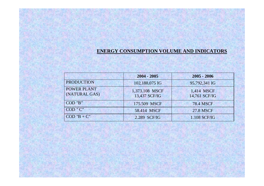#### **ENERGY CONSUMPTION VOLUME AND INDICATORS**

|                                     | $2004 - 2005$                   | $2005 - 2006$               |
|-------------------------------------|---------------------------------|-----------------------------|
| <b>PRODUCTION</b>                   | 102,188,075 IG                  | 95,792,341 IG               |
| <b>POWER PLANT</b><br>(NATURAL GAS) | 1,373.108 MSCF<br>13,437 SCF/IG | 1,414 MSCF<br>14,761 SCF/IG |
| COD "B"                             | 175.509 MSCF                    | <b>78.4 MSCF</b>            |
| COD "C"                             | 58.414 MSCF                     | <b>27.8 MSCF</b>            |
| $COD "B + C"$                       | 2.289 SCF/IG                    | 1.108 SCF/IG                |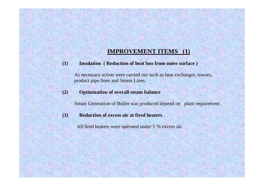# **IMPROVEMENT ITEMS (1)**

**(1) Insulation ( Reduction of heat loss from outer surface )** 

 As necessary action were carried out such as heat exchanger, towers, product pipe lines and Steam Lines.

**(2) Optimization of overall steam balance**

Steam Generation of Boiler was produced depend on plant requirement .

**(3) Reduction of excess air at fired heaters**

All fired heaters were operated under 5 % excess air.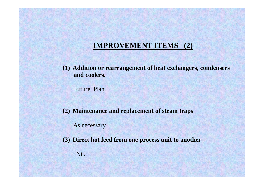# **IMPROVEMENT ITEMS (2)**

**(1) Addition or rearrangement of heat exchangers, condensers and coolers.**

Future Plan.

**(2) Maintenance and replacement of steam traps** 

As necessary

**(3) Direct hot feed from one process unit to another**

Nil.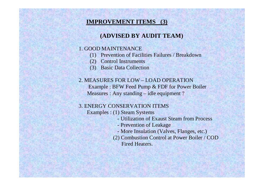# **IMPROVEMENT ITEMS (3)**

# **(ADVISED BY AUDIT TEAM)**

### 1. GOOD MAINTENANCE

- (1) Prevention of Facilities Failures / Breakdown
- (2) Control Instruments
- (3) Basic Data Collection

# 2. MEASURES FOR LOW – LOAD OPERATION Example : BFW Feed Pump & FDF for Power Boiler Measures : Any standing – idle equipment ?

# 3. ENERGY CONSERVATION ITEMS

Examples : (1) Steam Systems

- Utilization of Exaust Steam from Process
- Prevention of Leakage
- More Insulation (Valves, Flanges, etc.)
- (2) Combustion Control at Power Boiler / COD Fired Heaters.